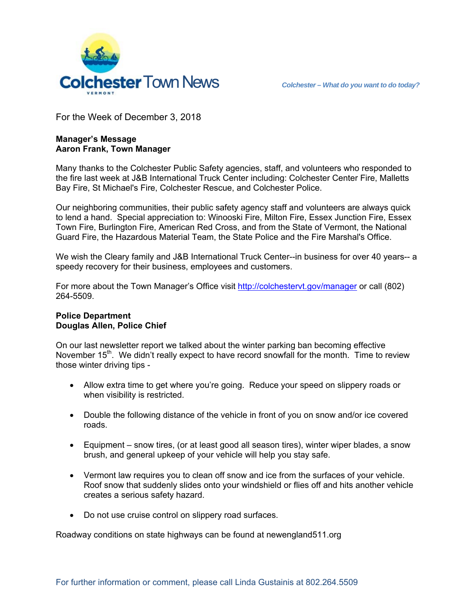

For the Week of December 3, 2018

## **Manager's Message Aaron Frank, Town Manager**

Many thanks to the Colchester Public Safety agencies, staff, and volunteers who responded to the fire last week at J&B International Truck Center including: Colchester Center Fire, Malletts Bay Fire, St Michael's Fire, Colchester Rescue, and Colchester Police.

Our neighboring communities, their public safety agency staff and volunteers are always quick to lend a hand. Special appreciation to: Winooski Fire, Milton Fire, Essex Junction Fire, Essex Town Fire, Burlington Fire, American Red Cross, and from the State of Vermont, the National Guard Fire, the Hazardous Material Team, the State Police and the Fire Marshal's Office.

We wish the Cleary family and J&B International Truck Center--in business for over 40 years-- a speedy recovery for their business, employees and customers.

For more about the Town Manager's Office visit http://colchestervt.gov/manager or call (802) 264-5509.

## **Police Department Douglas Allen, Police Chief**

On our last newsletter report we talked about the winter parking ban becoming effective November  $15<sup>th</sup>$ . We didn't really expect to have record snowfall for the month. Time to review those winter driving tips -

- Allow extra time to get where you're going. Reduce your speed on slippery roads or when visibility is restricted.
- Double the following distance of the vehicle in front of you on snow and/or ice covered roads.
- Equipment snow tires, (or at least good all season tires), winter wiper blades, a snow brush, and general upkeep of your vehicle will help you stay safe.
- Vermont law requires you to clean off snow and ice from the surfaces of your vehicle. Roof snow that suddenly slides onto your windshield or flies off and hits another vehicle creates a serious safety hazard.
- Do not use cruise control on slippery road surfaces.

Roadway conditions on state highways can be found at newengland511.org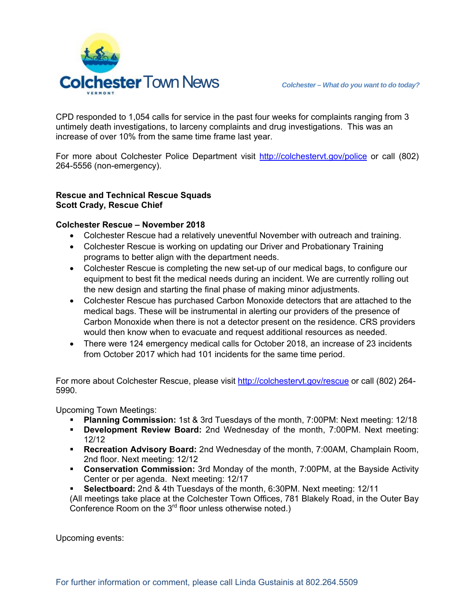

CPD responded to 1,054 calls for service in the past four weeks for complaints ranging from 3 untimely death investigations, to larceny complaints and drug investigations. This was an increase of over 10% from the same time frame last year.

For more about Colchester Police Department visit http://colchestervt.gov/police or call (802) 264-5556 (non-emergency).

## **Rescue and Technical Rescue Squads Scott Crady, Rescue Chief**

## **Colchester Rescue – November 2018**

- Colchester Rescue had a relatively uneventful November with outreach and training.
- Colchester Rescue is working on updating our Driver and Probationary Training programs to better align with the department needs.
- Colchester Rescue is completing the new set-up of our medical bags, to configure our equipment to best fit the medical needs during an incident. We are currently rolling out the new design and starting the final phase of making minor adjustments.
- Colchester Rescue has purchased Carbon Monoxide detectors that are attached to the medical bags. These will be instrumental in alerting our providers of the presence of Carbon Monoxide when there is not a detector present on the residence. CRS providers would then know when to evacuate and request additional resources as needed.
- There were 124 emergency medical calls for October 2018, an increase of 23 incidents from October 2017 which had 101 incidents for the same time period.

For more about Colchester Rescue, please visit http://colchestervt.gov/rescue or call (802) 264- 5990.

Upcoming Town Meetings:

- **Planning Commission:** 1st & 3rd Tuesdays of the month, 7:00PM: Next meeting: 12/18
- **Development Review Board:** 2nd Wednesday of the month, 7:00PM. Next meeting: 12/12
- **Recreation Advisory Board:** 2nd Wednesday of the month, 7:00AM, Champlain Room, 2nd floor. Next meeting: 12/12
- **Conservation Commission:** 3rd Monday of the month, 7:00PM, at the Bayside Activity Center or per agenda. Next meeting: 12/17
- **Selectboard:** 2nd & 4th Tuesdays of the month, 6:30PM. Next meeting: 12/11
- (All meetings take place at the Colchester Town Offices, 781 Blakely Road, in the Outer Bay Conference Room on the  $3<sup>rd</sup>$  floor unless otherwise noted.)

Upcoming events: